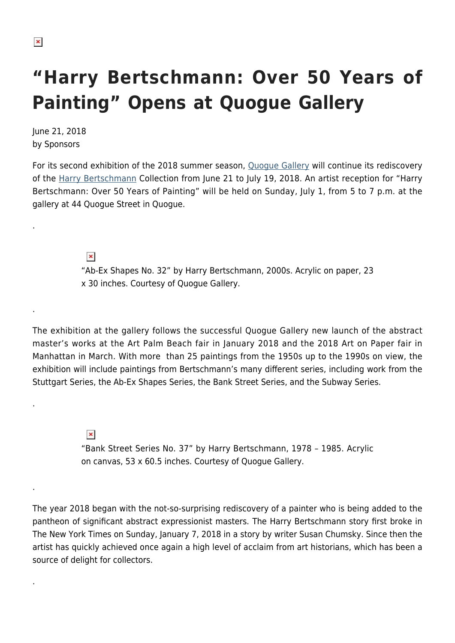.

.

.

.

.

## **"Harry Bertschmann: Over 50 Years of Painting" Opens at Quogue Gallery**

June 21, 2018 by Sponsors

For its second exhibition of the 2018 summer season, [Quogue Gallery](https://quoguegallery.com/) will continue its rediscovery of the [Harry Bertschmann](https://quoguegallery.com/artists/66449/harry-bertschmann/) Collection from June 21 to July 19, 2018. An artist reception for "Harry Bertschmann: Over 50 Years of Painting" will be held on Sunday, July 1, from 5 to 7 p.m. at the gallery at 44 Quogue Street in Quogue.

> $\pmb{\times}$ "Ab-Ex Shapes No. 32" by Harry Bertschmann, 2000s. Acrylic on paper, 23 x 30 inches. Courtesy of Quogue Gallery.

The exhibition at the gallery follows the successful Quogue Gallery new launch of the abstract master's works at the Art Palm Beach fair in January 2018 and the 2018 Art on Paper fair in Manhattan in March. With more than 25 paintings from the 1950s up to the 1990s on view, the exhibition will include paintings from Bertschmann's many different series, including work from the Stuttgart Series, the Ab-Ex Shapes Series, the Bank Street Series, and the Subway Series.

> $\pmb{\times}$ "Bank Street Series No. 37" by Harry Bertschmann, 1978 – 1985. Acrylic on canvas, 53 x 60.5 inches. Courtesy of Quogue Gallery.

The year 2018 began with the not-so-surprising rediscovery of a painter who is being added to the pantheon of significant abstract expressionist masters. The Harry Bertschmann story first broke in The New York Times on Sunday, January 7, 2018 in a story by writer Susan Chumsky. Since then the artist has quickly achieved once again a high level of acclaim from art historians, which has been a source of delight for collectors.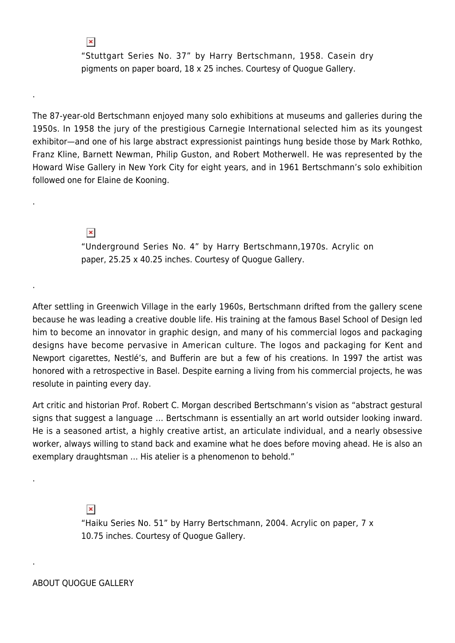"Stuttgart Series No. 37" by Harry Bertschmann, 1958. Casein dry pigments on paper board, 18 x 25 inches. Courtesy of Quogue Gallery.

The 87-year-old Bertschmann enjoyed many solo exhibitions at museums and galleries during the 1950s. In 1958 the jury of the prestigious Carnegie International selected him as its youngest exhibitor—and one of his large abstract expressionist paintings hung beside those by Mark Rothko, Franz Kline, Barnett Newman, Philip Guston, and Robert Motherwell. He was represented by the Howard Wise Gallery in New York City for eight years, and in 1961 Bertschmann's solo exhibition followed one for Elaine de Kooning.

 $\pmb{\times}$ 

 $\pmb{\times}$ 

.

.

.

.

.

"Underground Series No. 4" by Harry Bertschmann,1970s. Acrylic on paper, 25.25 x 40.25 inches. Courtesy of Quogue Gallery.

After settling in Greenwich Village in the early 1960s, Bertschmann drifted from the gallery scene because he was leading a creative double life. His training at the famous Basel School of Design led him to become an innovator in graphic design, and many of his commercial logos and packaging designs have become pervasive in American culture. The logos and packaging for Kent and Newport cigarettes, Nestlé's, and Bufferin are but a few of his creations. In 1997 the artist was honored with a retrospective in Basel. Despite earning a living from his commercial projects, he was resolute in painting every day.

Art critic and historian Prof. Robert C. Morgan described Bertschmann's vision as "abstract gestural signs that suggest a language … Bertschmann is essentially an art world outsider looking inward. He is a seasoned artist, a highly creative artist, an articulate individual, and a nearly obsessive worker, always willing to stand back and examine what he does before moving ahead. He is also an exemplary draughtsman … His atelier is a phenomenon to behold."

 $\pmb{\times}$ 

"Haiku Series No. 51" by Harry Bertschmann, 2004. Acrylic on paper, 7 x 10.75 inches. Courtesy of Quogue Gallery.

ABOUT QUOGUE GALLERY